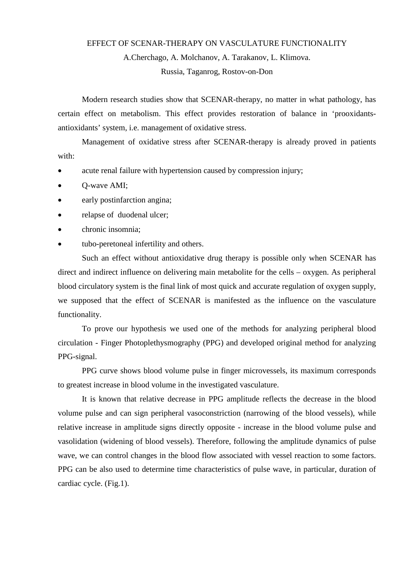## EFFECT OF SCENAR-THERAPY ON VASCULATURE FUNCTIONALITY

A.Cherchago, A. Molchanov, A. Tarakanov, L. Klimova.

Russia, Taganrog, Rostov-on-Don

Modern research studies show that SCENAR-therapy, no matter in what pathology, has certain effect on metabolism. This effect provides restoration of balance in 'prooxidantsantioxidants' system, i.e. management of oxidative stress.

Management of oxidative stress after SCENAR-therapy is already proved in patients with:

- acute renal failure with hypertension caused by compression injury;
- Q-wave AMI;
- early postinfarction angina;
- relapse of duodenal ulcer;
- chronic insomnia;
- tubo-peretoneal infertility and others.

Such an effect without antioxidative drug therapy is possible only when SCENAR has direct and indirect influence on delivering main metabolite for the cells – oxygen. As peripheral blood circulatory system is the final link of most quick and accurate regulation of oxygen supply, we supposed that the effect of SCENAR is manifested as the influence on the vasculature functionality.

To prove our hypothesis we used one of the methods for analyzing peripheral blood circulation - Finger Photoplethysmography (PPG) and developed original method for analyzing PPG-signal.

PPG curve shows blood volume pulse in finger microvessels, its maximum corresponds to greatest increase in blood volume in the investigated vasculature.

It is known that relative decrease in PPG amplitude reflects the decrease in the blood volume pulse and can sign peripheral vasoconstriction (narrowing of the blood vessels), while relative increase in amplitude signs directly opposite - increase in the blood volume pulse and vasolidation (widening of blood vessels). Therefore, following the amplitude dynamics of pulse wave, we can control changes in the blood flow associated with vessel reaction to some factors. PPG can be also used to determine time characteristics of pulse wave, in particular, duration of cardiac cycle. (Fig.1).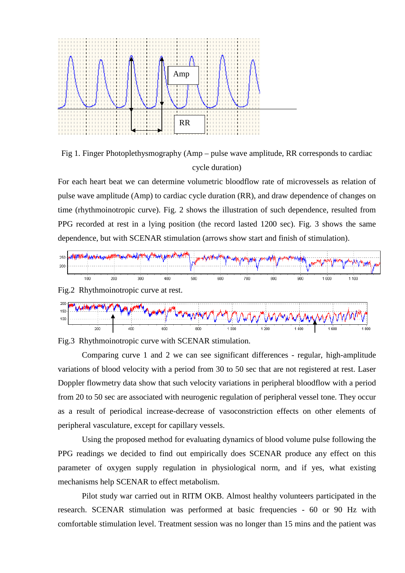

Fig 1. Finger Photoplethysmography (Amp – pulse wave amplitude, RR corresponds to cardiac cycle duration)

For each heart beat we can determine volumetric bloodflow rate of microvessels as relation of pulse wave amplitude (Amp) to cardiac cycle duration (RR), and draw dependence of changes on time (rhythmoinotropic curve). Fig. 2 shows the illustration of such dependence, resulted from PPG recorded at rest in a lying position (the record lasted 1200 sec). Fig. 3 shows the same dependence, but with SCENAR stimulation (arrows show start and finish of stimulation).



son



...

 $\overline{400}$ 

Comparing curve 1 and 2 we can see significant differences - regular, high-amplitude variations of blood velocity with a period from 30 to 50 sec that are not registered at rest. Laser Doppler flowmetry data show that such velocity variations in peripheral bloodflow with a period from 20 to 50 sec are associated with neurogenic regulation of peripheral vessel tone. They occur as a result of periodical increase-decrease of vasoconstriction effects on other elements of peripheral vasculature, except for capillary vessels.

Using the proposed method for evaluating dynamics of blood volume pulse following the PPG readings we decided to find out empirically does SCENAR produce any effect on this parameter of oxygen supply regulation in physiological norm, and if yes, what existing mechanisms help SCENAR to effect metabolism.

Pilot study war carried out in RITM OKB. Almost healthy volunteers participated in the research. SCENAR stimulation was performed at basic frequencies - 60 or 90 Hz with comfortable stimulation level. Treatment session was no longer than 15 mins and the patient was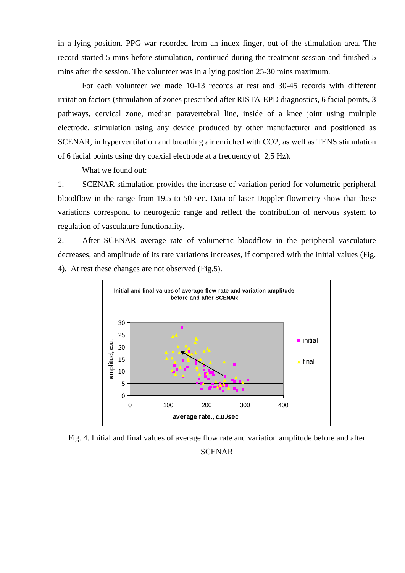in a lying position. PPG war recorded from an index finger, out of the stimulation area. The record started 5 mins before stimulation, continued during the treatment session and finished 5 mins after the session. The volunteer was in a lying position 25-30 mins maximum.

For each volunteer we made 10-13 records at rest and 30-45 records with different irritation factors (stimulation of zones prescribed after RISTA-EPD diagnostics, 6 facial points, 3 pathways, cervical zone, median paravertebral line, inside of a knee joint using multiple electrode, stimulation using any device produced by other manufacturer and positioned as SCENAR, in hyperventilation and breathing air enriched with СО2, as well as TENS stimulation of 6 facial points using dry coaxial electrode at a frequency of 2,5 Hz).

What we found out:

1. SCENAR-stimulation provides the increase of variation period for volumetric peripheral bloodflow in the range from 19.5 to 50 sec. Data of laser Doppler flowmetry show that these variations correspond to neurogenic range and reflect the contribution of nervous system to regulation of vasculature functionality.

2. After SCENAR average rate of volumetric bloodflow in the peripheral vasculature decreases, and amplitude of its rate variations increases, if compared with the initial values (Fig. 4). At rest these changes are not observed (Fig.5).



Fig. 4. Initial and final values of average flow rate and variation amplitude before and after **SCENAR**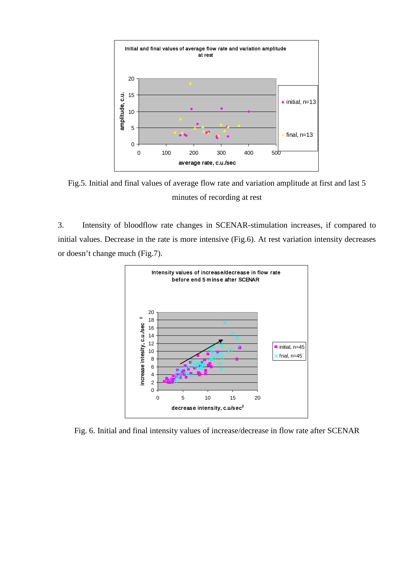

Fig.5. Initial and final values of average flow rate and variation amplitude at first and last 5 minutes of recording at rest

3. Intensity of bloodflow rate changes in SCENAR-stimulation increases, if compared to initial values. Decrease in the rate is more intensive (Fig.6). At rest variation intensity decreases or doesn't change much (Fig.7).



Fig. 6. Initial and final intensity values of increase/decrease in flow rate after SCENAR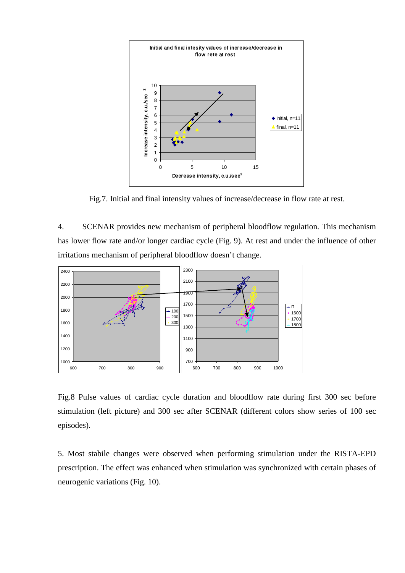

Fig.7. Initial and final intensity values of increase/decrease in flow rate at rest.

4. SCENAR provides new mechanism of peripheral bloodflow regulation. This mechanism has lower flow rate and/or longer cardiac cycle (Fig. 9). At rest and under the influence of other irritations mechanism of peripheral bloodflow doesn't change.



Fig.8 Pulse values of cardiac cycle duration and bloodflow rate during first 300 sec before stimulation (left picture) and 300 sec after SCENAR (different colors show series of 100 sec episodes).

5. Most stabile changes were observed when performing stimulation under the RISTA-EPD prescription. The effect was enhanced when stimulation was synchronized with certain phases of neurogenic variations (Fig. 10).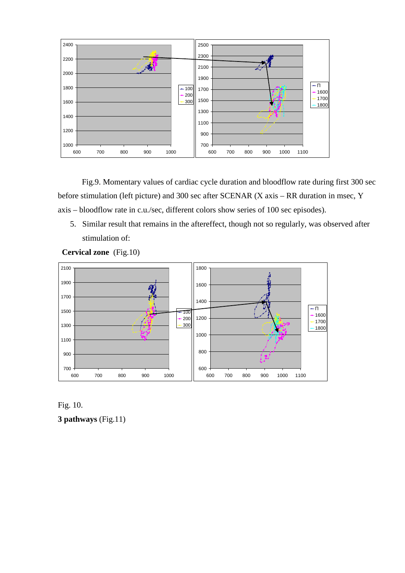

Fig.9. Momentary values of cardiac cycle duration and bloodflow rate during first 300 sec before stimulation (left picture) and 300 sec after SCENAR (Х axis – RR duration in msec, Y axis – bloodflow rate in c.u./sec, different colors show series of 100 sec episodes).

5. Similar result that remains in the aftereffect, though not so regularly, was observed after stimulation of:



**Cervical zone** (Fig.10)



**3 pathways** (Fig.11)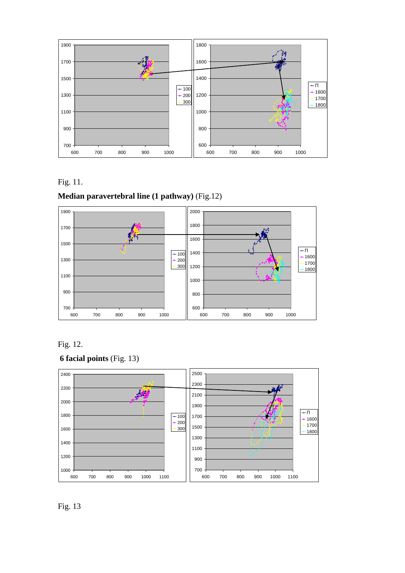



## **Median paravertebral line (1 pathway)** (Fig.12)









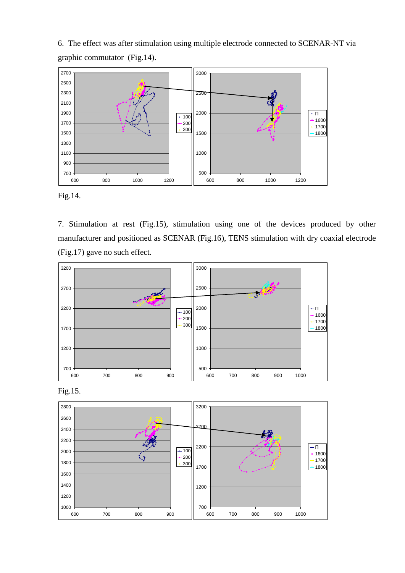6. The effect was after stimulation using multiple electrode connected to SCENAR-NT via graphic commutator (Fig.14).



Fig.14.

7. Stimulation at rest (Fig.15), stimulation using one of the devices produced by other manufacturer and positioned as SCENAR (Fig.16), TENS stimulation with dry coaxial electrode (Fig.17) gave no such effect.





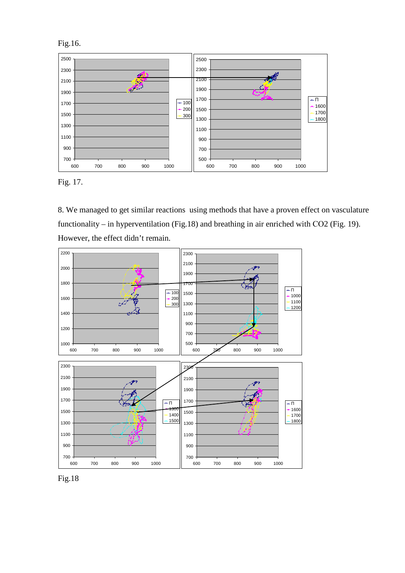



8. We managed to get similar reactions using methods that have a proven effect on vasculature functionality – in hyperventilation (Fig.18) and breathing in air enriched with CO2 (Fig. 19). However, the effect didn't remain.



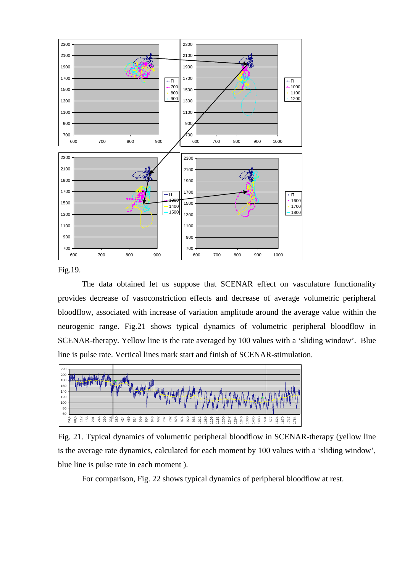

Fig.19.

The data obtained let us suppose that SCENAR effect on vasculature functionality provides decrease of vasoconstriction effects and decrease of average volumetric peripheral bloodflow, associated with increase of variation amplitude around the average value within the neurogenic range. Fig.21 shows typical dynamics of volumetric peripheral bloodflow in SCENAR-therapy. Yellow line is the rate averaged by 100 values with a 'sliding window'. Blue line is pulse rate. Vertical lines mark start and finish of SCENAR-stimulation.



Fig. 21. Typical dynamics of volumetric peripheral bloodflow in SCENAR-therapy (yellow line is the average rate dynamics, calculated for each moment by 100 values with a 'sliding window', blue line is pulse rate in each moment ).

For comparison, Fig. 22 shows typical dynamics of peripheral bloodflow at rest.